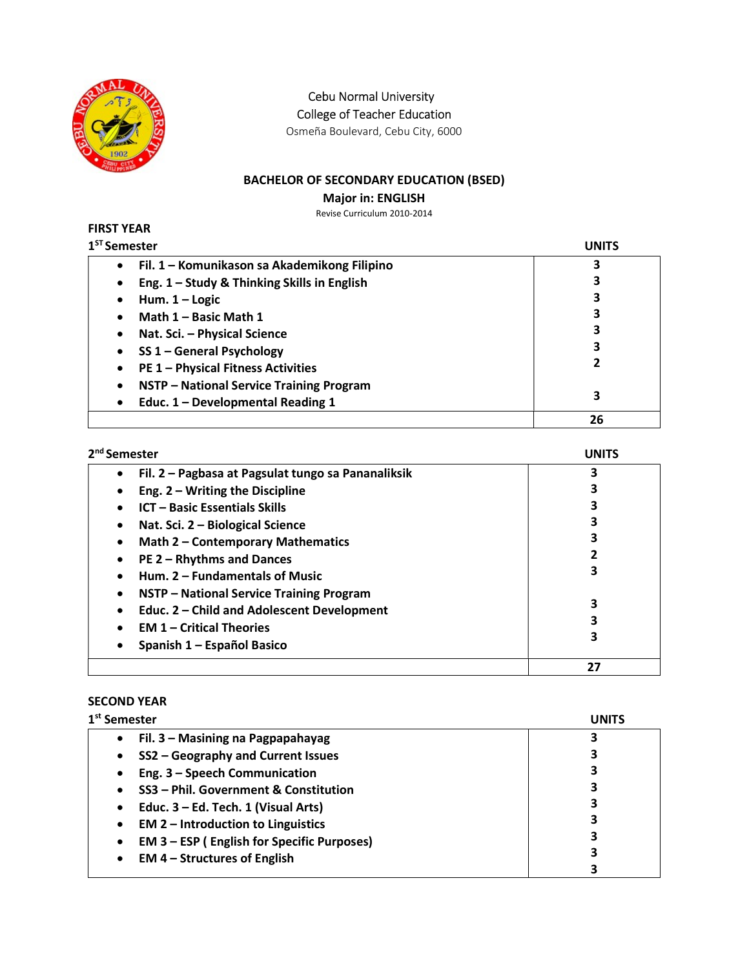

Cebu Normal University

College of Teacher Education

Osmeña Boulevard, Cebu City, 6000

# BACHELOR OF SECONDARY EDUCATION (BSED)

Major in: ENGLISH

Revise Curriculum 2010-2014

#### FIRST YEAR  $1<sup>ST</sup> S<sub>0</sub>$

| <sup>st</sup> Semester                            | UNITS |
|---------------------------------------------------|-------|
| Fil. 1 – Komunikason sa Akademikong Filipino<br>٠ | 3     |
| Eng. 1 - Study & Thinking Skills in English<br>٠  |       |
| Hum. $1 -$ Logic<br>٠                             | 3     |
| Math 1 - Basic Math 1                             | 3     |
| Nat. Sci. - Physical Science                      |       |
| SS 1 - General Psychology                         | 3     |
| <b>PE 1 - Physical Fitness Activities</b>         | 2     |
| NSTP - National Service Training Program<br>٠     |       |
| Educ. 1 - Developmental Reading 1<br>$\bullet$    | 3     |
|                                                   | 26    |

| 2 <sup>nd</sup> Semester                                        | UNITS |
|-----------------------------------------------------------------|-------|
| Fil. 2 – Pagbasa at Pagsulat tungo sa Pananaliksik<br>$\bullet$ | 3     |
| Eng. $2 - W$ riting the Discipline                              |       |
| <b>ICT - Basic Essentials Skills</b>                            | 3     |
| Nat. Sci. 2 - Biological Science                                |       |
| <b>Math 2 - Contemporary Mathematics</b>                        |       |
| PE 2 - Rhythms and Dances<br>٠                                  |       |
| Hum. 2 - Fundamentals of Music                                  | 3     |
| NSTP - National Service Training Program<br>٠                   |       |
| Educ. 2 - Child and Adolescent Development                      | 3     |
| <b>EM 1 – Critical Theories</b>                                 |       |
| Spanish 1 - Español Basico                                      | 3     |
|                                                                 | 27    |

### SECOND YEAR

| 1 <sup>st</sup> Semester                                       | UNITS |
|----------------------------------------------------------------|-------|
| Fil. 3 - Masining na Pagpapahayag<br>$\bullet$                 | 3     |
| SS2 - Geography and Current Issues<br>٠                        |       |
| Eng. 3 - Speech Communication<br>٠                             | 3     |
| SS3 - Phil. Government & Constitution                          | 3     |
| Educ. 3 – Ed. Tech. 1 (Visual Arts)<br>$\bullet$               | 3     |
| <b>EM 2 - Introduction to Linguistics</b><br>$\bullet$         | 3     |
| <b>EM 3 – ESP (English for Specific Purposes)</b><br>$\bullet$ | 3     |
| <b>EM 4 – Structures of English</b><br>$\bullet$               | 3     |
|                                                                |       |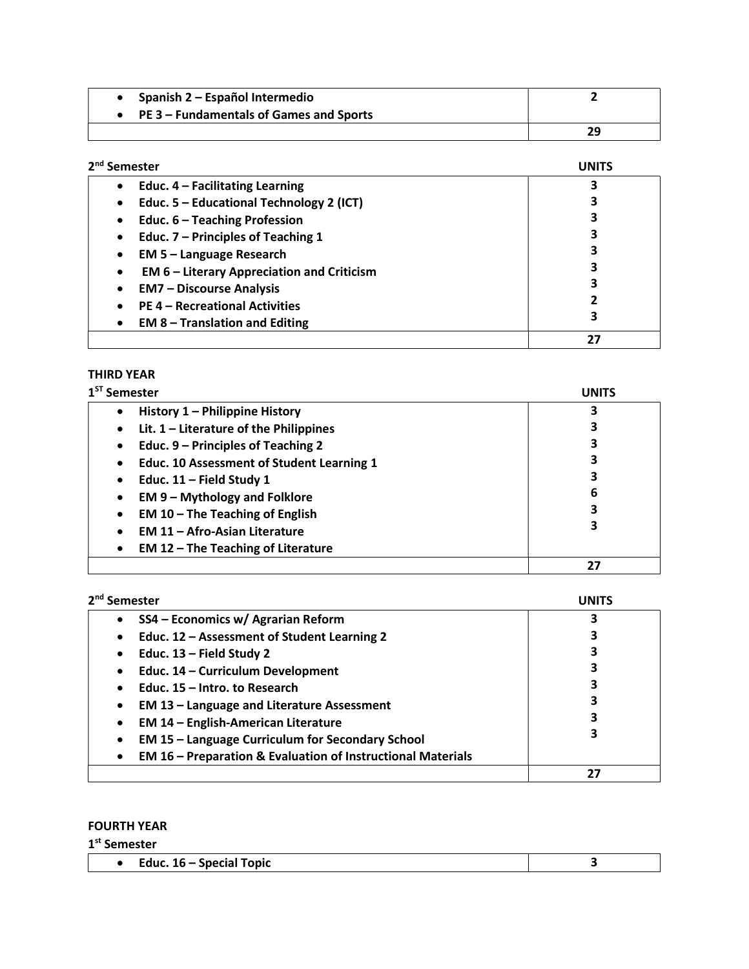| Spanish 2 – Español Intermedio          |    |
|-----------------------------------------|----|
| PE 3 – Fundamentals of Games and Sports |    |
|                                         | 29 |

| 2 <sup>nd</sup> Semester                          | <b>UNITS</b> |
|---------------------------------------------------|--------------|
| Educ. $4$ – Facilitating Learning                 |              |
| Educ. 5 - Educational Technology 2 (ICT)          |              |
| Educ. 6 - Teaching Profession                     |              |
| Educ. 7 - Principles of Teaching 1                |              |
| <b>EM 5 - Language Research</b>                   |              |
| <b>EM 6 - Literary Appreciation and Criticism</b> |              |
| <b>EM7 - Discourse Analysis</b>                   |              |
| <b>PE 4 - Recreational Activities</b>             |              |
| <b>EM 8 - Translation and Editing</b>             | 3            |
|                                                   | 27           |

## THIRD YEAR

| $1ST$ Semester                                         | <b>UNITS</b> |
|--------------------------------------------------------|--------------|
| History 1 - Philippine History<br>$\bullet$            |              |
| Lit. $1$ – Literature of the Philippines<br>$\bullet$  | 3            |
| Educ. 9 – Principles of Teaching 2<br>$\bullet$        | 3            |
| Educ. 10 Assessment of Student Learning 1<br>$\bullet$ |              |
| Educ. $11$ – Field Study 1<br>$\bullet$                | 3            |
| <b>EM 9 - Mythology and Folklore</b><br>$\bullet$      | 6            |
| EM $10$ – The Teaching of English<br>$\bullet$         | 3            |
| <b>EM 11 - Afro-Asian Literature</b>                   | 3            |
| <b>EM 12 - The Teaching of Literature</b>              |              |
|                                                        | 27           |

| 2 <sup>nd</sup> Semester                                                            | <b>INIT</b> |
|-------------------------------------------------------------------------------------|-------------|
| SS4 - Economics w/ Agrarian Reform<br>٠                                             |             |
| Educ. 12 - Assessment of Student Learning 2<br>$\bullet$                            |             |
| Educ. $13$ – Field Study 2<br>$\bullet$                                             |             |
| Educ. 14 - Curriculum Development<br>$\bullet$                                      |             |
| Educ. 15 – Intro. to Research<br>$\bullet$                                          |             |
| <b>EM 13 - Language and Literature Assessment</b><br>$\bullet$                      |             |
| <b>EM 14 - English-American Literature</b><br>$\bullet$                             | 3           |
| <b>EM 15 - Language Curriculum for Secondary School</b><br>$\bullet$                |             |
| <b>EM 16 - Preparation &amp; Evaluation of Instructional Materials</b><br>$\bullet$ |             |
|                                                                                     | 27          |

## FOURTH YEAR

1<sup>st</sup> Semester

| Topic<br><b>Special</b><br>zdur<br>16<br>. .<br>. |  |
|---------------------------------------------------|--|